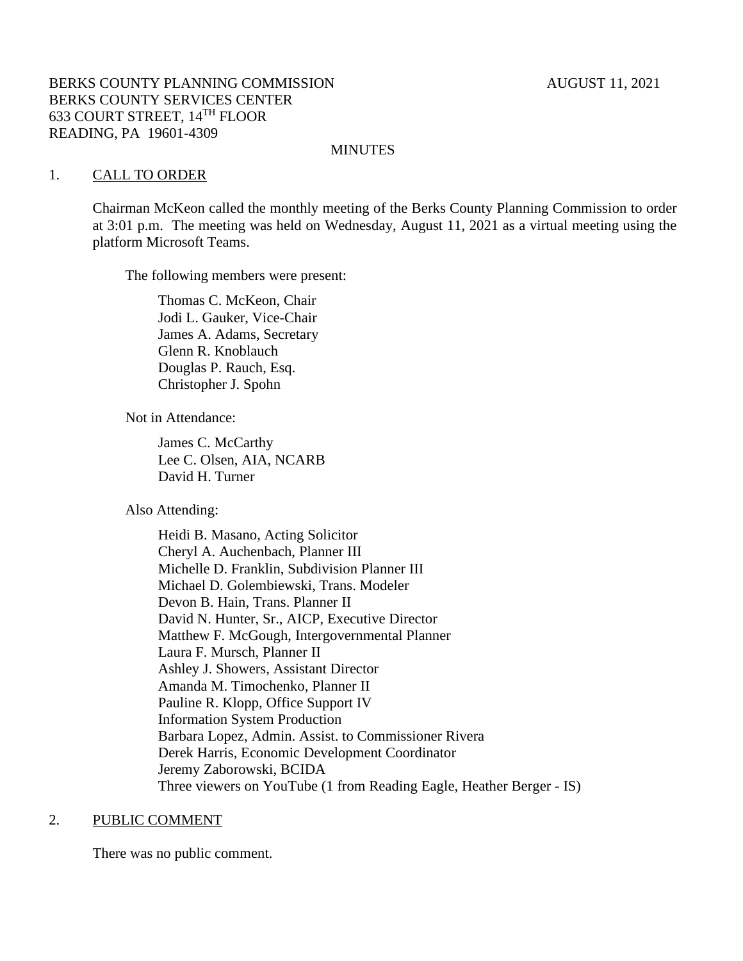## **MINUTES**

#### 1. CALL TO ORDER

Chairman McKeon called the monthly meeting of the Berks County Planning Commission to order at 3:01 p.m. The meeting was held on Wednesday, August 11, 2021 as a virtual meeting using the platform Microsoft Teams.

The following members were present:

Thomas C. McKeon, Chair Jodi L. Gauker, Vice-Chair James A. Adams, Secretary Glenn R. Knoblauch Douglas P. Rauch, Esq. Christopher J. Spohn

Not in Attendance:

James C. McCarthy Lee C. Olsen, AIA, NCARB David H. Turner

Also Attending:

Heidi B. Masano, Acting Solicitor Cheryl A. Auchenbach, Planner III Michelle D. Franklin, Subdivision Planner III Michael D. Golembiewski, Trans. Modeler Devon B. Hain, Trans. Planner II David N. Hunter, Sr., AICP, Executive Director Matthew F. McGough, Intergovernmental Planner Laura F. Mursch, Planner II Ashley J. Showers, Assistant Director Amanda M. Timochenko, Planner II Pauline R. Klopp, Office Support IV Information System Production Barbara Lopez, Admin. Assist. to Commissioner Rivera Derek Harris, Economic Development Coordinator Jeremy Zaborowski, BCIDA Three viewers on YouTube (1 from Reading Eagle, Heather Berger - IS)

#### 2. PUBLIC COMMENT

There was no public comment.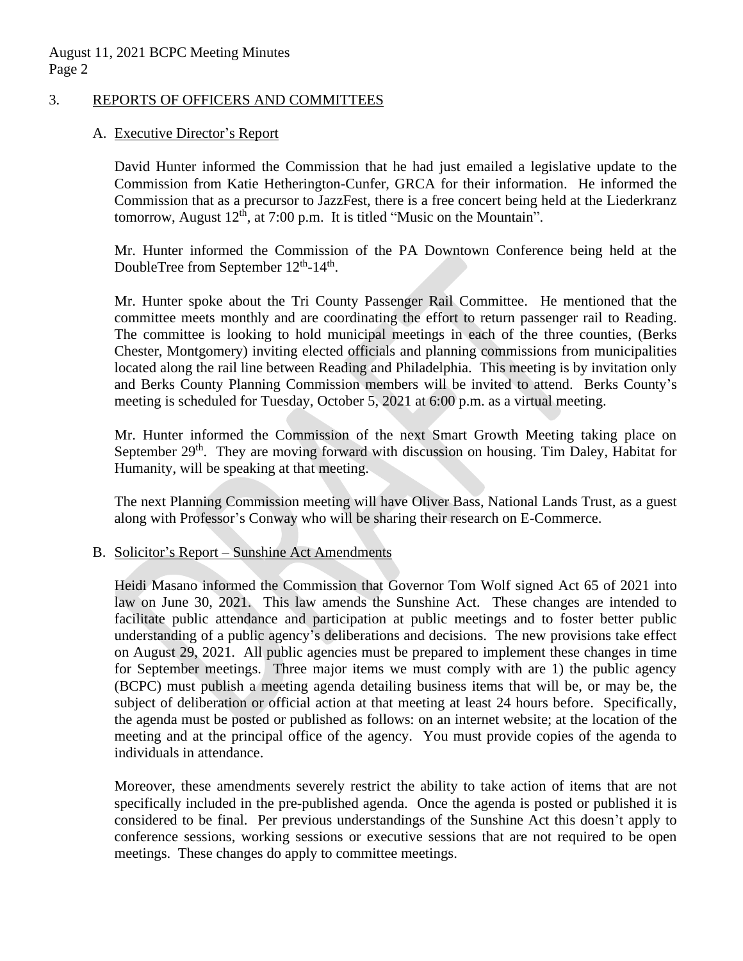August 11, 2021 BCPC Meeting Minutes Page 2

### 3. REPORTS OF OFFICERS AND COMMITTEES

### A. Executive Director's Report

David Hunter informed the Commission that he had just emailed a legislative update to the Commission from Katie Hetherington-Cunfer, GRCA for their information. He informed the Commission that as a precursor to JazzFest, there is a free concert being held at the Liederkranz tomorrow, August  $12<sup>th</sup>$ , at 7:00 p.m. It is titled "Music on the Mountain".

Mr. Hunter informed the Commission of the PA Downtown Conference being held at the DoubleTree from September  $12^{th}$ - $14^{th}$ .

Mr. Hunter spoke about the Tri County Passenger Rail Committee. He mentioned that the committee meets monthly and are coordinating the effort to return passenger rail to Reading. The committee is looking to hold municipal meetings in each of the three counties, (Berks Chester, Montgomery) inviting elected officials and planning commissions from municipalities located along the rail line between Reading and Philadelphia. This meeting is by invitation only and Berks County Planning Commission members will be invited to attend. Berks County's meeting is scheduled for Tuesday, October 5, 2021 at 6:00 p.m. as a virtual meeting.

Mr. Hunter informed the Commission of the next Smart Growth Meeting taking place on September 29<sup>th</sup>. They are moving forward with discussion on housing. Tim Daley, Habitat for Humanity, will be speaking at that meeting.

The next Planning Commission meeting will have Oliver Bass, National Lands Trust, as a guest along with Professor's Conway who will be sharing their research on E-Commerce.

### B. Solicitor's Report – Sunshine Act Amendments

Heidi Masano informed the Commission that Governor Tom Wolf signed Act 65 of 2021 into law on June 30, 2021. This law amends the Sunshine Act. These changes are intended to facilitate public attendance and participation at public meetings and to foster better public understanding of a public agency's deliberations and decisions. The new provisions take effect on August 29, 2021. All public agencies must be prepared to implement these changes in time for September meetings. Three major items we must comply with are 1) the public agency (BCPC) must publish a meeting agenda detailing business items that will be, or may be, the subject of deliberation or official action at that meeting at least 24 hours before. Specifically, the agenda must be posted or published as follows: on an internet website; at the location of the meeting and at the principal office of the agency. You must provide copies of the agenda to individuals in attendance.

Moreover, these amendments severely restrict the ability to take action of items that are not specifically included in the pre-published agenda. Once the agenda is posted or published it is considered to be final. Per previous understandings of the Sunshine Act this doesn't apply to conference sessions, working sessions or executive sessions that are not required to be open meetings. These changes do apply to committee meetings.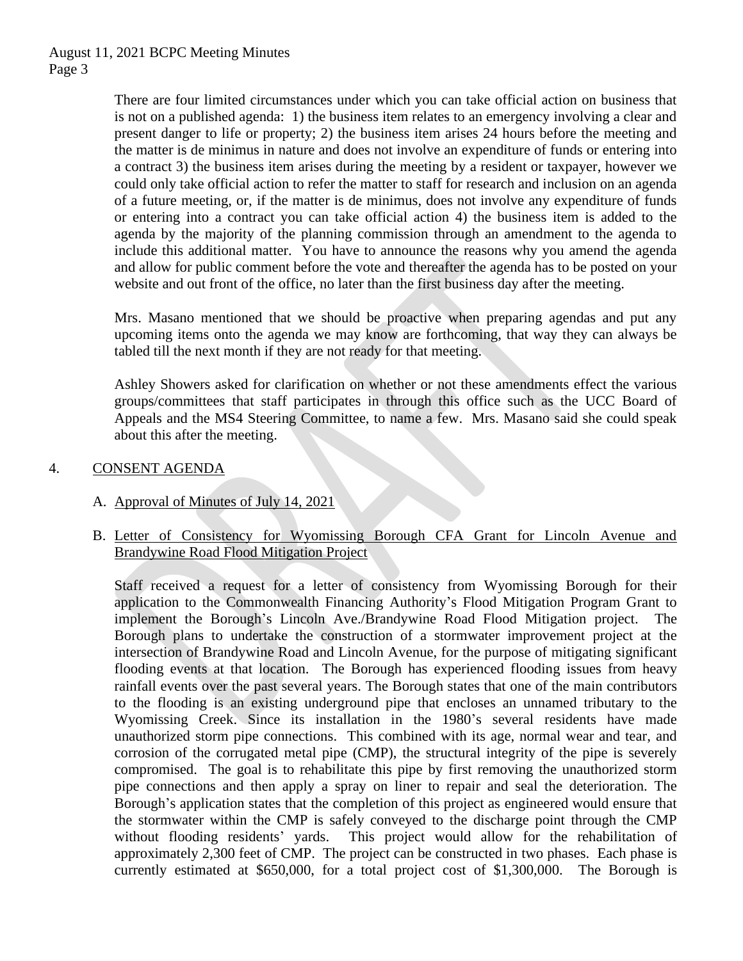There are four limited circumstances under which you can take official action on business that is not on a published agenda: 1) the business item relates to an emergency involving a clear and present danger to life or property; 2) the business item arises 24 hours before the meeting and the matter is de minimus in nature and does not involve an expenditure of funds or entering into a contract 3) the business item arises during the meeting by a resident or taxpayer, however we could only take official action to refer the matter to staff for research and inclusion on an agenda of a future meeting, or, if the matter is de minimus, does not involve any expenditure of funds or entering into a contract you can take official action 4) the business item is added to the agenda by the majority of the planning commission through an amendment to the agenda to include this additional matter. You have to announce the reasons why you amend the agenda and allow for public comment before the vote and thereafter the agenda has to be posted on your website and out front of the office, no later than the first business day after the meeting.

Mrs. Masano mentioned that we should be proactive when preparing agendas and put any upcoming items onto the agenda we may know are forthcoming, that way they can always be tabled till the next month if they are not ready for that meeting.

Ashley Showers asked for clarification on whether or not these amendments effect the various groups/committees that staff participates in through this office such as the UCC Board of Appeals and the MS4 Steering Committee, to name a few. Mrs. Masano said she could speak about this after the meeting.

# 4. CONSENT AGENDA

### A. Approval of Minutes of July 14, 2021

B. Letter of Consistency for Wyomissing Borough CFA Grant for Lincoln Avenue and Brandywine Road Flood Mitigation Project

Staff received a request for a letter of consistency from Wyomissing Borough for their application to the Commonwealth Financing Authority's Flood Mitigation Program Grant to implement the Borough's Lincoln Ave./Brandywine Road Flood Mitigation project. The Borough plans to undertake the construction of a stormwater improvement project at the intersection of Brandywine Road and Lincoln Avenue, for the purpose of mitigating significant flooding events at that location. The Borough has experienced flooding issues from heavy rainfall events over the past several years. The Borough states that one of the main contributors to the flooding is an existing underground pipe that encloses an unnamed tributary to the Wyomissing Creek. Since its installation in the 1980's several residents have made unauthorized storm pipe connections. This combined with its age, normal wear and tear, and corrosion of the corrugated metal pipe (CMP), the structural integrity of the pipe is severely compromised. The goal is to rehabilitate this pipe by first removing the unauthorized storm pipe connections and then apply a spray on liner to repair and seal the deterioration. The Borough's application states that the completion of this project as engineered would ensure that the stormwater within the CMP is safely conveyed to the discharge point through the CMP without flooding residents' yards. This project would allow for the rehabilitation of approximately 2,300 feet of CMP. The project can be constructed in two phases. Each phase is currently estimated at \$650,000, for a total project cost of \$1,300,000. The Borough is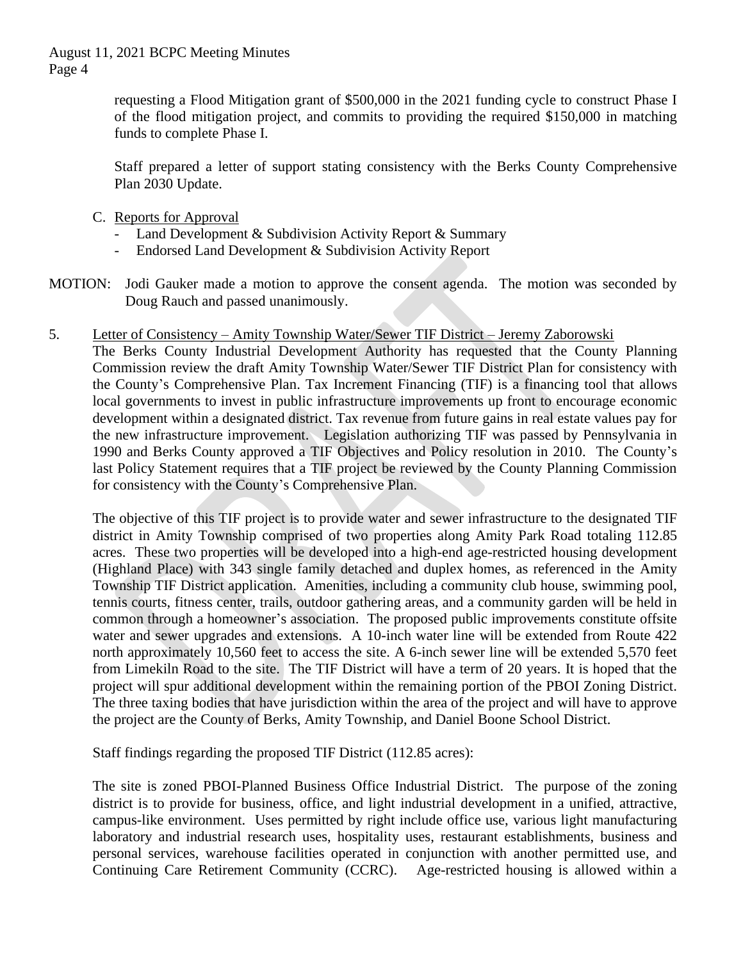August 11, 2021 BCPC Meeting Minutes Page 4

> requesting a Flood Mitigation grant of \$500,000 in the 2021 funding cycle to construct Phase I of the flood mitigation project, and commits to providing the required \$150,000 in matching funds to complete Phase I.

> Staff prepared a letter of support stating consistency with the Berks County Comprehensive Plan 2030 Update.

- C. Reports for Approval
	- Land Development & Subdivision Activity Report & Summary
	- Endorsed Land Development & Subdivision Activity Report
- MOTION: Jodi Gauker made a motion to approve the consent agenda. The motion was seconded by Doug Rauch and passed unanimously.
- 5. Letter of Consistency Amity Township Water/Sewer TIF District Jeremy Zaborowski

The Berks County Industrial Development Authority has requested that the County Planning Commission review the draft Amity Township Water/Sewer TIF District Plan for consistency with the County's Comprehensive Plan. Tax Increment Financing (TIF) is a financing tool that allows local governments to invest in public infrastructure improvements up front to encourage economic development within a designated district. Tax revenue from future gains in real estate values pay for the new infrastructure improvement. Legislation authorizing TIF was passed by Pennsylvania in 1990 and Berks County approved a TIF Objectives and Policy resolution in 2010. The County's last Policy Statement requires that a TIF project be reviewed by the County Planning Commission for consistency with the County's Comprehensive Plan.

The objective of this TIF project is to provide water and sewer infrastructure to the designated TIF district in Amity Township comprised of two properties along Amity Park Road totaling 112.85 acres. These two properties will be developed into a high-end age-restricted housing development (Highland Place) with 343 single family detached and duplex homes, as referenced in the Amity Township TIF District application. Amenities, including a community club house, swimming pool, tennis courts, fitness center, trails, outdoor gathering areas, and a community garden will be held in common through a homeowner's association. The proposed public improvements constitute offsite water and sewer upgrades and extensions. A 10-inch water line will be extended from Route 422 north approximately 10,560 feet to access the site. A 6-inch sewer line will be extended 5,570 feet from Limekiln Road to the site. The TIF District will have a term of 20 years. It is hoped that the project will spur additional development within the remaining portion of the PBOI Zoning District. The three taxing bodies that have jurisdiction within the area of the project and will have to approve the project are the County of Berks, Amity Township, and Daniel Boone School District.

Staff findings regarding the proposed TIF District (112.85 acres):

The site is zoned PBOI-Planned Business Office Industrial District. The purpose of the zoning district is to provide for business, office, and light industrial development in a unified, attractive, campus-like environment. Uses permitted by right include office use, various light manufacturing laboratory and industrial research uses, hospitality uses, restaurant establishments, business and personal services, warehouse facilities operated in conjunction with another permitted use, and Continuing Care Retirement Community (CCRC). Age-restricted housing is allowed within a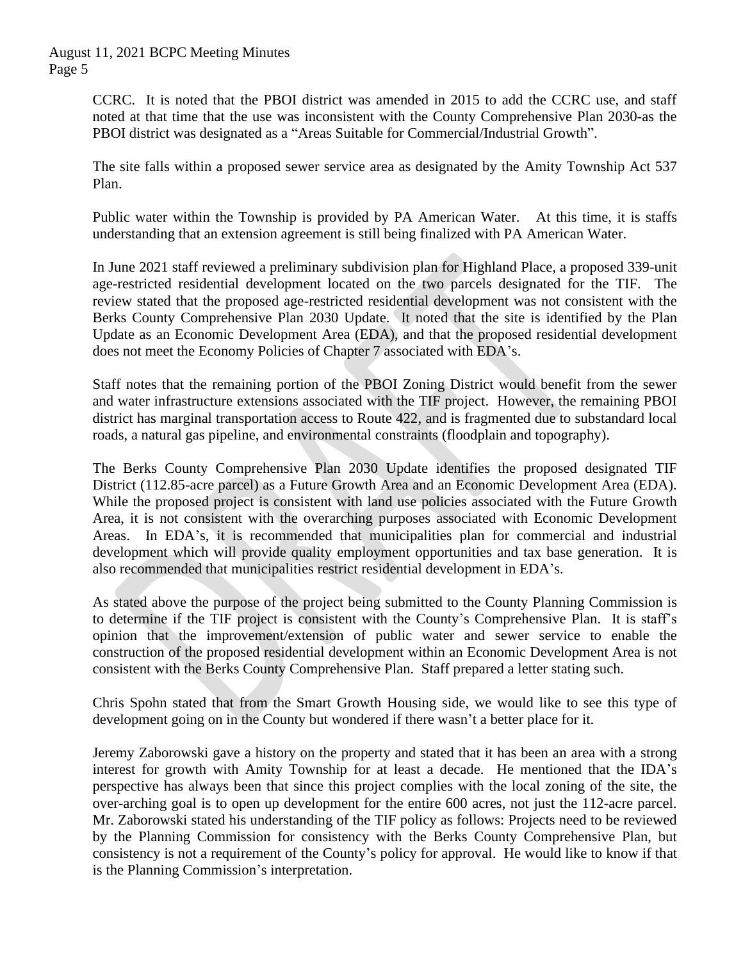CCRC. It is noted that the PBOI district was amended in 2015 to add the CCRC use, and staff noted at that time that the use was inconsistent with the County Comprehensive Plan 2030-as the PBOI district was designated as a "Areas Suitable for Commercial/Industrial Growth".

The site falls within a proposed sewer service area as designated by the Amity Township Act 537 Plan.

Public water within the Township is provided by PA American Water. At this time, it is staffs understanding that an extension agreement is still being finalized with PA American Water.

In June 2021 staff reviewed a preliminary subdivision plan for Highland Place, a proposed 339-unit age-restricted residential development located on the two parcels designated for the TIF. The review stated that the proposed age-restricted residential development was not consistent with the Berks County Comprehensive Plan 2030 Update. It noted that the site is identified by the Plan Update as an Economic Development Area (EDA), and that the proposed residential development does not meet the Economy Policies of Chapter 7 associated with EDA's.

Staff notes that the remaining portion of the PBOI Zoning District would benefit from the sewer and water infrastructure extensions associated with the TIF project. However, the remaining PBOI district has marginal transportation access to Route 422, and is fragmented due to substandard local roads, a natural gas pipeline, and environmental constraints (floodplain and topography).

The Berks County Comprehensive Plan 2030 Update identifies the proposed designated TIF District (112.85-acre parcel) as a Future Growth Area and an Economic Development Area (EDA). While the proposed project is consistent with land use policies associated with the Future Growth Area, it is not consistent with the overarching purposes associated with Economic Development Areas. In EDA's, it is recommended that municipalities plan for commercial and industrial development which will provide quality employment opportunities and tax base generation. It is also recommended that municipalities restrict residential development in EDA's.

As stated above the purpose of the project being submitted to the County Planning Commission is to determine if the TIF project is consistent with the County's Comprehensive Plan. It is staff's opinion that the improvement/extension of public water and sewer service to enable the construction of the proposed residential development within an Economic Development Area is not consistent with the Berks County Comprehensive Plan. Staff prepared a letter stating such.

Chris Spohn stated that from the Smart Growth Housing side, we would like to see this type of development going on in the County but wondered if there wasn't a better place for it.

Jeremy Zaborowski gave a history on the property and stated that it has been an area with a strong interest for growth with Amity Township for at least a decade. He mentioned that the IDA's perspective has always been that since this project complies with the local zoning of the site, the over-arching goal is to open up development for the entire 600 acres, not just the 112-acre parcel. Mr. Zaborowski stated his understanding of the TIF policy as follows: Projects need to be reviewed by the Planning Commission for consistency with the Berks County Comprehensive Plan, but consistency is not a requirement of the County's policy for approval. He would like to know if that is the Planning Commission's interpretation.